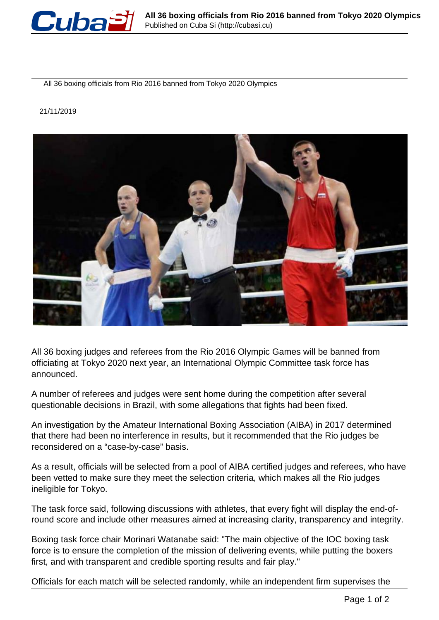

All 36 boxing officials from Rio 2016 banned from Tokyo 2020 Olympics

## 21/11/2019



All 36 boxing judges and referees from the Rio 2016 Olympic Games will be banned from officiating at Tokyo 2020 next year, an International Olympic Committee task force has announced.

A number of referees and judges were sent home during the competition after several questionable decisions in Brazil, with some allegations that fights had been fixed.

An investigation by the Amateur International Boxing Association (AIBA) in 2017 determined that there had been no interference in results, but it recommended that the Rio judges be reconsidered on a "case-by-case" basis.

As a result, officials will be selected from a pool of AIBA certified judges and referees, who have been vetted to make sure they meet the selection criteria, which makes all the Rio judges ineligible for Tokyo.

The task force said, following discussions with athletes, that every fight will display the end-ofround score and include other measures aimed at increasing clarity, transparency and integrity.

Boxing task force chair Morinari Watanabe said: "The main objective of the IOC boxing task force is to ensure the completion of the mission of delivering events, while putting the boxers first, and with transparent and credible sporting results and fair play."

Officials for each match will be selected randomly, while an independent firm supervises the